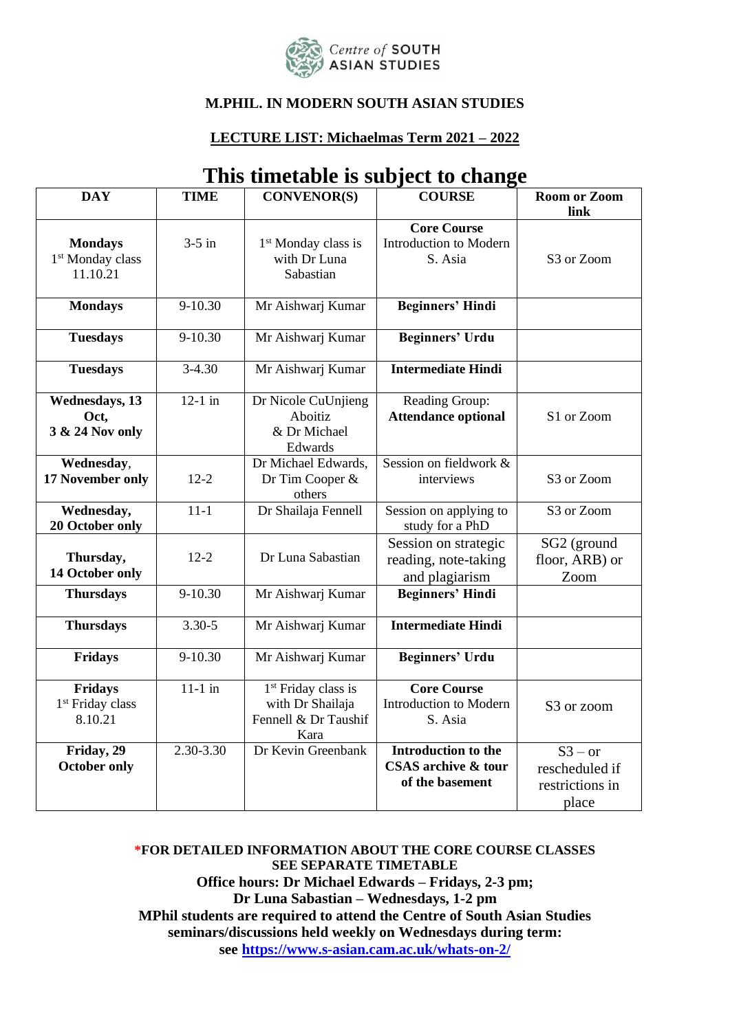

#### **M.PHIL. IN MODERN SOUTH ASIAN STUDIES**

#### **LECTURE LIST: Michaelmas Term 2021 – 2022**

| <b>DAY</b>                                                 | <b>TIME</b>   | <b>CONVENOR(S)</b>                                                                  | <b>COURSE</b>                                                               | <b>Room or Zoom</b><br>link                                        |
|------------------------------------------------------------|---------------|-------------------------------------------------------------------------------------|-----------------------------------------------------------------------------|--------------------------------------------------------------------|
| <b>Mondays</b><br>1 <sup>st</sup> Monday class<br>11.10.21 | $3-5$ in      | 1 <sup>st</sup> Monday class is<br>with Dr Luna<br>Sabastian                        | <b>Core Course</b><br>Introduction to Modern<br>S. Asia                     | S <sub>3</sub> or Zoom                                             |
| <b>Mondays</b>                                             | 9-10.30       | Mr Aishwarj Kumar                                                                   | <b>Beginners' Hindi</b>                                                     |                                                                    |
| <b>Tuesdays</b>                                            | 9-10.30       | Mr Aishwarj Kumar                                                                   | <b>Beginners' Urdu</b>                                                      |                                                                    |
| <b>Tuesdays</b>                                            | $3 - 4.30$    | Mr Aishwarj Kumar                                                                   | <b>Intermediate Hindi</b>                                                   |                                                                    |
| <b>Wednesdays</b> , 13<br>Oct,<br>3 & 24 Nov only          | $12-1$ in     | Dr Nicole CuUnjieng<br>Aboitiz<br>& Dr Michael<br>Edwards                           | Reading Group:<br><b>Attendance optional</b>                                | S1 or Zoom                                                         |
| Wednesday,<br>17 November only                             | $12 - 2$      | Dr Michael Edwards,<br>Dr Tim Cooper &<br>others                                    | Session on fieldwork &<br>interviews                                        | S3 or Zoom                                                         |
| Wednesday,<br>20 October only                              | $11-1$        | Dr Shailaja Fennell                                                                 | Session on applying to<br>study for a PhD                                   | S <sub>3</sub> or Zoom                                             |
| Thursday,<br>14 October only                               | $12 - 2$      | Dr Luna Sabastian                                                                   | Session on strategic<br>reading, note-taking<br>and plagiarism              | SG2 (ground<br>floor, ARB) or<br>Zoom                              |
| <b>Thursdays</b>                                           | 9-10.30       | Mr Aishwarj Kumar                                                                   | <b>Beginners' Hindi</b>                                                     |                                                                    |
| <b>Thursdays</b>                                           | $3.30 - 5$    | Mr Aishwarj Kumar                                                                   | <b>Intermediate Hindi</b>                                                   |                                                                    |
| Fridays                                                    | 9-10.30       | Mr Aishwarj Kumar                                                                   | <b>Beginners' Urdu</b>                                                      |                                                                    |
| Fridays<br>1 <sup>st</sup> Friday class<br>8.10.21         | $11-1$ in     | 1 <sup>st</sup> Friday class is<br>with Dr Shailaja<br>Fennell & Dr Taushif<br>Kara | <b>Core Course</b><br>Introduction to Modern<br>S. Asia                     | S3 or zoom                                                         |
| Friday, 29<br><b>October only</b>                          | $2.30 - 3.30$ | Dr Kevin Greenbank                                                                  | <b>Introduction to the</b><br><b>CSAS</b> archive & tour<br>of the basement | $\overline{S3 - or}$<br>rescheduled if<br>restrictions in<br>place |

### **This timetable is subject to change**

**\*FOR DETAILED INFORMATION ABOUT THE CORE COURSE CLASSES SEE SEPARATE TIMETABLE Office hours: Dr Michael Edwards – Fridays, 2-3 pm; Dr Luna Sabastian – Wednesdays, 1-2 pm MPhil students are required to attend the Centre of South Asian Studies seminars/discussions held weekly on Wednesdays during term: see<https://www.s-asian.cam.ac.uk/whats-on-2/>**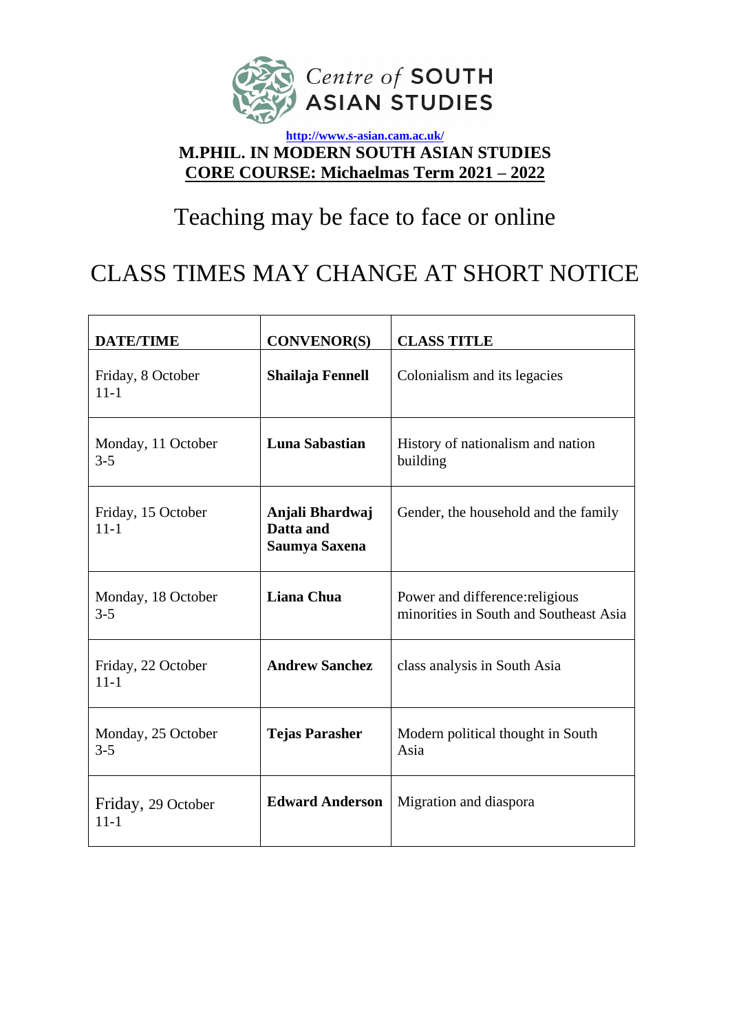

### **<http://www.s-asian.cam.ac.uk/> M.PHIL. IN MODERN SOUTH ASIAN STUDIES CORE COURSE: Michaelmas Term 2021 – 2022**

# Teaching may be face to face or online

## CLASS TIMES MAY CHANGE AT SHORT NOTICE

| <b>DATE/TIME</b>                                         | <b>CONVENOR(S)</b>                            | <b>CLASS TITLE</b>                                                        |  |
|----------------------------------------------------------|-----------------------------------------------|---------------------------------------------------------------------------|--|
| Friday, 8 October<br>$11 - 1$                            | Shailaja Fennell                              | Colonialism and its legacies                                              |  |
| Monday, 11 October<br>$3 - 5$                            | Luna Sabastian                                | History of nationalism and nation<br>building                             |  |
| Friday, 15 October<br>$11 - 1$                           | Anjali Bhardwaj<br>Datta and<br>Saumya Saxena | Gender, the household and the family                                      |  |
| Monday, 18 October<br>$3 - 5$                            | <b>Liana Chua</b>                             | Power and difference: religious<br>minorities in South and Southeast Asia |  |
| Friday, 22 October<br>$11 - 1$                           | <b>Andrew Sanchez</b>                         | class analysis in South Asia                                              |  |
| Monday, 25 October<br>$3 - 5$                            | <b>Tejas Parasher</b>                         | Modern political thought in South<br>Asia                                 |  |
| <b>Edward Anderson</b><br>Friday, 29 October<br>$11 - 1$ |                                               | Migration and diaspora                                                    |  |